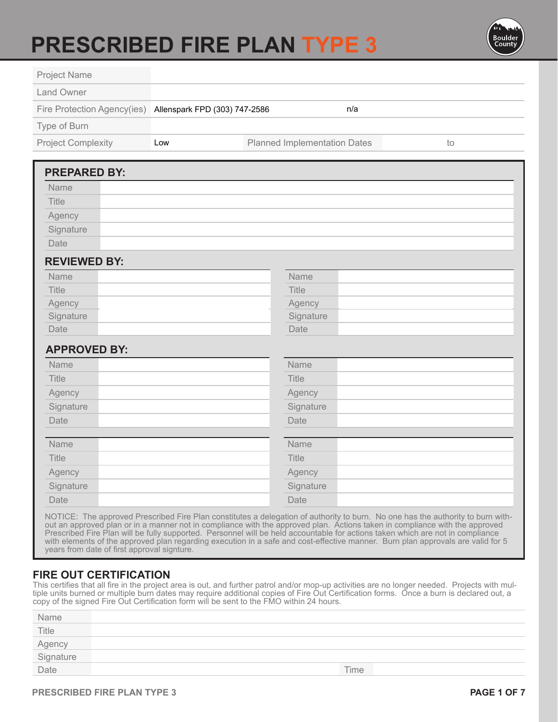# **PRESCRIBED FIRE PLAN TYPE 3**



|     | n/a                                 |                                                           |
|-----|-------------------------------------|-----------------------------------------------------------|
|     |                                     |                                                           |
| Low | <b>Planned Implementation Dates</b> | to                                                        |
|     |                                     |                                                           |
|     |                                     |                                                           |
|     |                                     |                                                           |
|     |                                     |                                                           |
|     |                                     |                                                           |
|     |                                     |                                                           |
|     |                                     |                                                           |
|     | Name                                |                                                           |
|     | Title                               |                                                           |
|     | Agency                              |                                                           |
|     | Signature                           |                                                           |
|     | Date                                |                                                           |
|     |                                     |                                                           |
|     | Name                                |                                                           |
|     | Title                               |                                                           |
|     | Agency                              |                                                           |
|     | Signature                           |                                                           |
|     | Date                                |                                                           |
|     | Name                                |                                                           |
|     | Title                               |                                                           |
|     | Agency                              |                                                           |
|     | Signature                           |                                                           |
|     | Date                                |                                                           |
|     |                                     | Fire Protection Agency(ies) Allenspark FPD (303) 747-2586 |

out an approved plan or in a manner not in compliance with the approved plan. Actions taken in compliance with the approved Prescribed Fire Plan will be fully supported. Personnel will be held accountable for actions taken which are not in compliance with elements of the approved plan regarding execution in a safe and cost-effective manner. Burn plan approvals are valid for 5 years from date of first approval signture.

#### **FIRE OUT CERTIFICATION**

This certifies that all fire in the project area is out, and further patrol and/or mop-up activities are no longer needed. Projects with multiple units burned or multiple burn dates may require additional copies of Fire Out Certification forms. Once a burn is declared out, a copy of the signed Fire Out Certification form will be sent to the FMO within 24 hours.

| Name                        |      |
|-----------------------------|------|
| Title                       |      |
|                             |      |
|                             |      |
| Agency<br>Signature<br>Date | Time |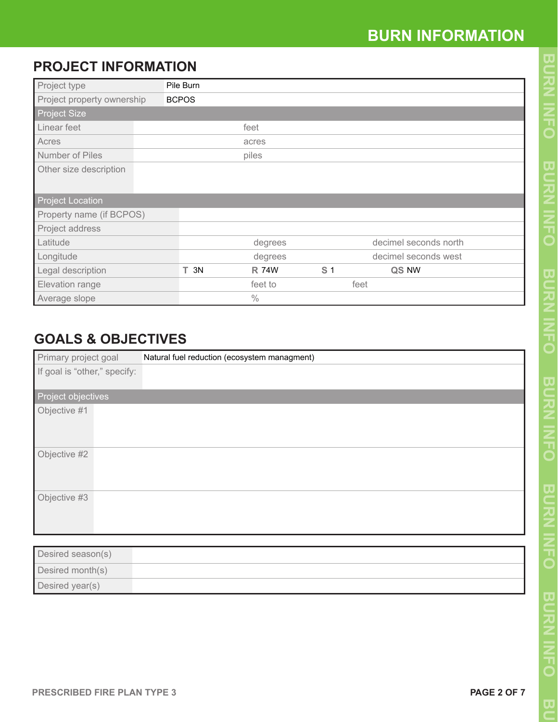# **PROJECT INFORMATION**

| Project type               | Pile Burn    |              |                |                       |  |
|----------------------------|--------------|--------------|----------------|-----------------------|--|
| Project property ownership | <b>BCPOS</b> |              |                |                       |  |
| <b>Project Size</b>        |              |              |                |                       |  |
| Linear feet                |              | feet         |                |                       |  |
| Acres                      |              | acres        |                |                       |  |
| Number of Piles            |              | piles        |                |                       |  |
| Other size description     |              |              |                |                       |  |
| <b>Project Location</b>    |              |              |                |                       |  |
| Property name (if BCPOS)   |              |              |                |                       |  |
| Project address            |              |              |                |                       |  |
| Latitude                   |              | degrees      |                | decimel seconds north |  |
| Longitude                  |              | degrees      |                | decimel seconds west  |  |
| Legal description          | $T$ 3N       | <b>R 74W</b> | S <sub>1</sub> | QS NW                 |  |
| Elevation range            |              | feet to      |                | feet                  |  |
| Average slope              |              | $\%$         |                |                       |  |

# **GOALS & OBJECTIVES**

| Primary project goal         | Natural fuel reduction (ecosystem managment) |
|------------------------------|----------------------------------------------|
| If goal is "other," specify: |                                              |
| Project objectives           |                                              |
| Objective #1                 |                                              |
| Objective #2                 |                                              |
| Objective #3                 |                                              |

| Desired season(s) |  |
|-------------------|--|
| Desired month(s)  |  |
| Desired year(s)   |  |

 $\overline{\mathbf{U}}$ 

**NHQ**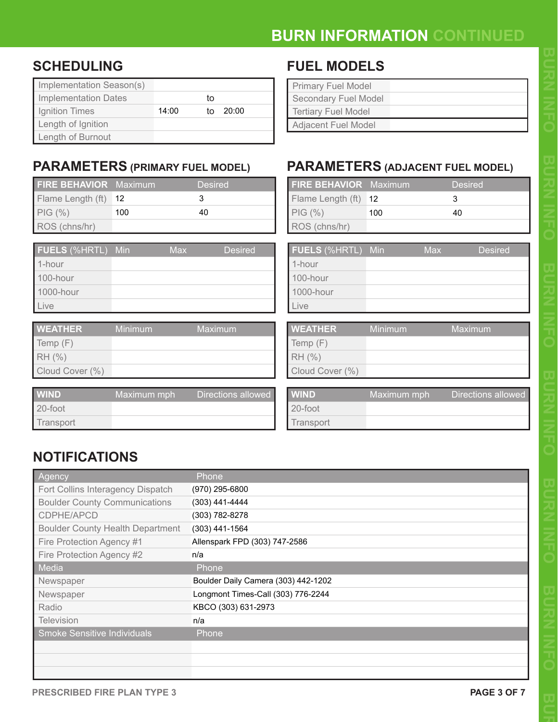# **BURN INFORMATION CONTINUED**

### **SCHEDULING**

| Implementation Season(s)    |       |    |       |
|-----------------------------|-------|----|-------|
| <b>Implementation Dates</b> |       | tο |       |
| Ignition Times              | 14:00 | tο | 20:00 |
| Length of Ignition          |       |    |       |
| Length of Burnout           |       |    |       |

### **PARAMETERS (PRIMARY FUEL MODEL)**

| <b>FIRE BEHAVIOR</b> Maximum |     | <b>Desired</b> |
|------------------------------|-----|----------------|
| Flame Length (ft) 12         |     |                |
| $PIG (\% )$                  | 100 | 40             |
| ROS (chns/hr)                |     |                |

| <b>FUELS</b> (%HRTL) Min | <b>Max</b> | <b>Desired</b> |
|--------------------------|------------|----------------|
| 1-hour                   |            |                |
| 100-hour                 |            |                |
| 1000-hour                |            |                |
| I Live                   |            |                |
|                          |            |                |

| <b>WEATHER</b>  | Minimum | Maximum |
|-----------------|---------|---------|
| Temp $(F)$      |         |         |
| RH (%)          |         |         |
| Cloud Cover (%) |         |         |

| <b>WIND</b>     | Maximum mph | Directions allowed |
|-----------------|-------------|--------------------|
| $\vert$ 20-foot |             |                    |
| Transport       |             |                    |

### **FUEL MODELS**

| <b>Primary Fuel Model</b>   |  |
|-----------------------------|--|
| <b>Secondary Fuel Model</b> |  |
| <b>Tertiary Fuel Model</b>  |  |
| <b>Adjacent Fuel Model</b>  |  |

### **PARAMETERS (ADJACENT FUEL MODEL)**

| Maximum |     | <b>Desired</b> | <b>FIRE BEHAVIOR</b> Maximum |     |     | <b>Desired</b> |  |
|---------|-----|----------------|------------------------------|-----|-----|----------------|--|
| 12      |     | 3              | Flame Length (ft) 12         |     |     | 3              |  |
| 100     |     | 40             | $PIG (\% )$                  | 100 |     | 40             |  |
|         |     |                | ROS (chns/hr)                |     |     |                |  |
|         |     |                |                              |     |     |                |  |
| Min     | Max | <b>Desired</b> | <b>FUELS</b> (%HRTL) Min     |     | Max | <b>Desired</b> |  |
|         |     |                | 1-hour                       |     |     |                |  |
|         |     |                | 100-hour                     |     |     |                |  |
|         |     |                | 1000-hour                    |     |     |                |  |
|         |     |                | Live                         |     |     |                |  |

| <b>WEATHER</b>  | Minimum | Maximum |
|-----------------|---------|---------|
| Temp (F)        |         |         |
| RH (%)          |         |         |
| Cloud Cover (%) |         |         |

| WIND      | Maximum mph | Directions allowed |
|-----------|-------------|--------------------|
| 20-foot   |             |                    |
| Transport |             |                    |

### **NOTIFICATIONS**

| Agency                                  | Phone                               |
|-----------------------------------------|-------------------------------------|
| Fort Collins Interagency Dispatch       | (970) 295-6800                      |
| <b>Boulder County Communications</b>    | $(303)$ 441-4444                    |
| CDPHE/APCD                              | (303) 782-8278                      |
| <b>Boulder County Health Department</b> | (303) 441-1564                      |
| Fire Protection Agency #1               | Allenspark FPD (303) 747-2586       |
| Fire Protection Agency #2               | n/a                                 |
| Media                                   | Phone                               |
| Newspaper                               | Boulder Daily Camera (303) 442-1202 |
| Newspaper                               | Longmont Times-Call (303) 776-2244  |
| Radio                                   | KBCO (303) 631-2973                 |
| <b>Television</b>                       | n/a                                 |
| Smoke Sensitive Individuals             | Phone                               |
|                                         |                                     |
|                                         |                                     |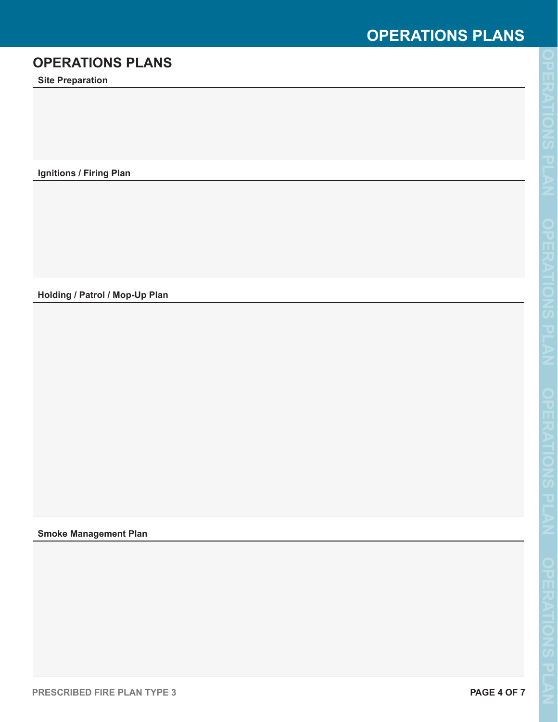# **OPERATIONS PLANS**

### **OPERATIONS PLANS**

**Site Preparation**

**Ignitions / Firing Plan**

**Holding / Patrol / Mop-Up Plan**

#### **Smoke Management Plan**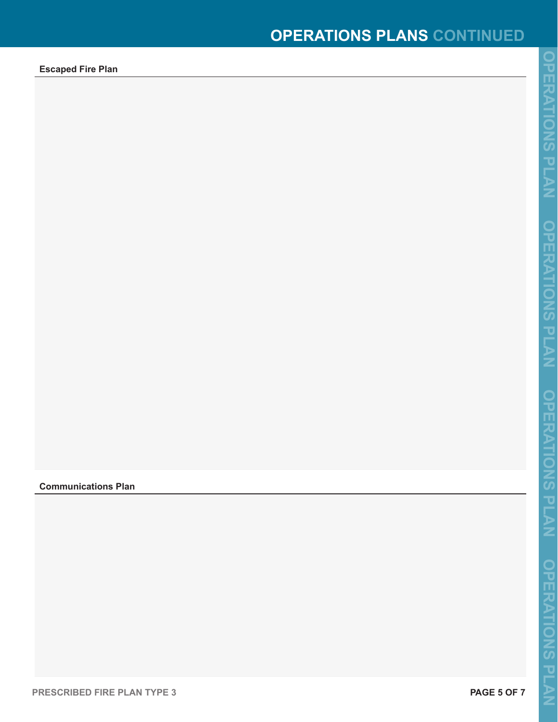**Escaped Fire Plan**

#### **Communications Plan**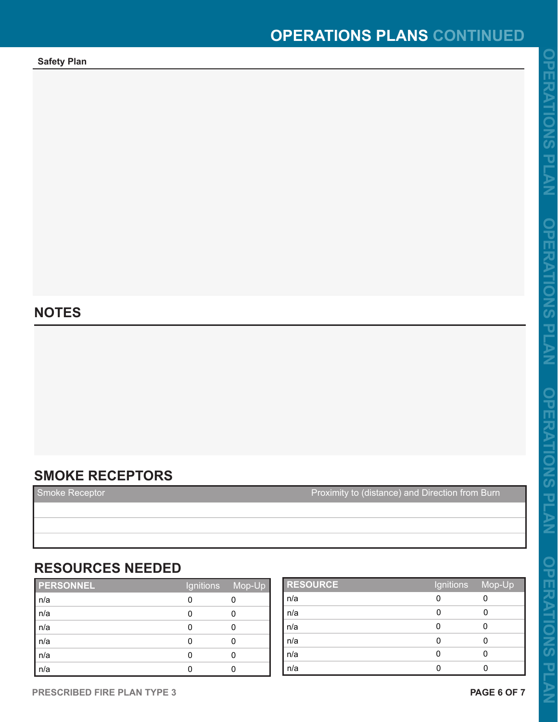**Safety Plan**

### **NOTES**

### **SMOKE RECEPTORS**

Smoke Receptor **Proximity to (distance) and Direction from Burn** 

### **RESOURCES NEEDED**

| PERSONNEL | Ignitions | Mop-Up |
|-----------|-----------|--------|
| n/a       |           |        |
| n/a       |           |        |
| n/a       |           |        |
| n/a       |           |        |
| n/a       |           |        |
| n/a       |           |        |

| <b>RESOURCE</b>  | Ignitions Mop-Up |  |
|------------------|------------------|--|
| n/a              | 0                |  |
| n/a              |                  |  |
| n/a              |                  |  |
| n/a              |                  |  |
| $\overline{n/a}$ | 0                |  |
| n/a              | 0                |  |